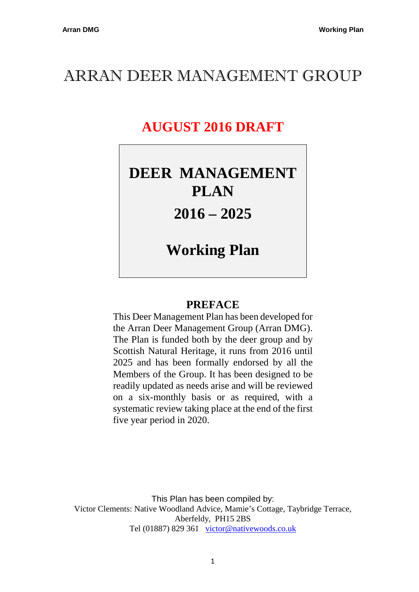# ARRAN DEER MANAGEMENT GROUP

# **AUGUST 2016 DRAFT**

# **DEER MANAGEMENT PLAN**

# **2016 – 2025**

# **Working Plan**

# **PREFACE**

This Deer Management Plan has been developed for the Arran Deer Management Group (Arran DMG). The Plan is funded both by the deer group and by Scottish Natural Heritage, it runs from 2016 until 2025 and has been formally endorsed by all the Members of the Group. It has been designed to be readily updated as needs arise and will be reviewed on a six-monthly basis or as required, with a systematic review taking place at the end of the first five year period in 2020.

This Plan has been compiled by: Victor Clements: Native Woodland Advice, Mamie's Cottage, Taybridge Terrace, Aberfeldy, PH15 2BS Tel (01887) 829 361 victor@nativewoods.co.uk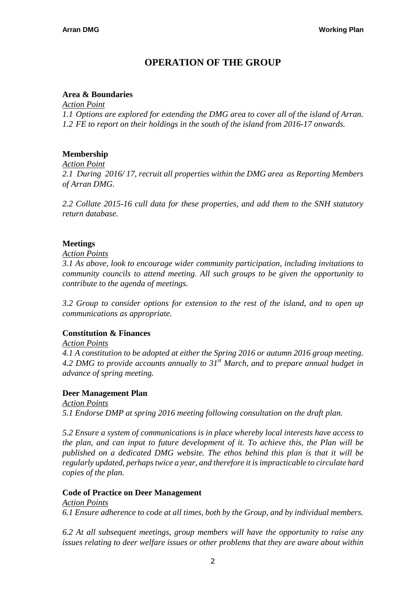## **OPERATION OF THE GROUP**

### **Area & Boundaries**

*Action Point*

*1.1 Options are explored for extending the DMG area to cover all of the island of Arran. 1.2 FE to report on their holdings in the south of the island from 2016-17 onwards.* 

### **Membership**

*Action Point*

*2.1 During 2016/ 17, recruit all properties within the DMG area as Reporting Members of Arran DMG.* 

*2.2 Collate 2015-16 cull data for these properties, and add them to the SNH statutory return database.* 

### **Meetings**

*Action Points*

*3.1 As above, look to encourage wider community participation, including invitations to community councils to attend meeting. All such groups to be given the opportunity to contribute to the agenda of meetings.* 

*3.2 Group to consider options for extension to the rest of the island, and to open up communications as appropriate.* 

#### **Constitution & Finances**

*Action Points*

*4.1 A constitution to be adopted at either the Spring 2016 or autumn 2016 group meeting. 4.2 DMG to provide accounts annually to 31st March, and to prepare annual budget in advance of spring meeting.* 

#### **Deer Management Plan**

*Action Points 5.1 Endorse DMP at spring 2016 meeting following consultation on the draft plan.* 

*5.2 Ensure a system of communications is in place whereby local interests have access to the plan, and can input to future development of it. To achieve this, the Plan will be published on a dedicated DMG website. The ethos behind this plan is that it will be regularly updated, perhaps twice a year, and therefore it is impracticable to circulate hard copies of the plan.* 

#### **Code of Practice on Deer Management**

*Action Points 6.1 Ensure adherence to code at all times, both by the Group, and by individual members.* 

*6.2 At all subsequent meetings, group members will have the opportunity to raise any issues relating to deer welfare issues or other problems that they are aware about within*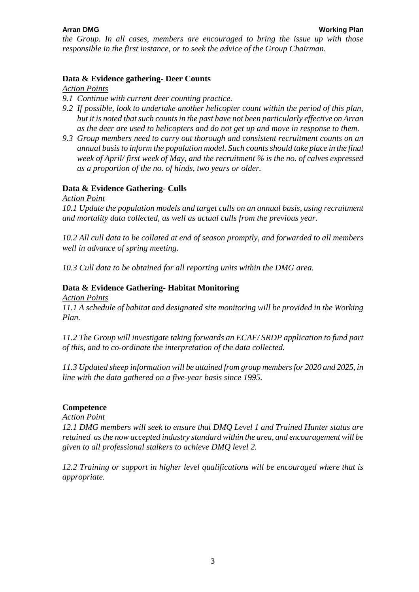*the Group. In all cases, members are encouraged to bring the issue up with those responsible in the first instance, or to seek the advice of the Group Chairman.* 

#### **Data & Evidence gathering- Deer Counts**

*Action Points*

- *9.1 Continue with current deer counting practice.*
- *9.2 If possible, look to undertake another helicopter count within the period of this plan, but it is noted that such counts in the past have not been particularly effective on Arran as the deer are used to helicopters and do not get up and move in response to them.*
- *9.3 Group members need to carry out thorough and consistent recruitment counts on an annual basis to inform the population model. Such counts should take place in the final week of April/ first week of May, and the recruitment % is the no. of calves expressed as a proportion of the no. of hinds, two years or older.*

#### **Data & Evidence Gathering- Culls**

*Action Point*

*10.1 Update the population models and target culls on an annual basis, using recruitment and mortality data collected, as well as actual culls from the previous year.* 

*10.2 All cull data to be collated at end of season promptly, and forwarded to all members well in advance of spring meeting.* 

*10.3 Cull data to be obtained for all reporting units within the DMG area.* 

#### **Data & Evidence Gathering- Habitat Monitoring**

*Action Points*

*11.1 A schedule of habitat and designated site monitoring will be provided in the Working Plan.* 

*11.2 The Group will investigate taking forwards an ECAF/ SRDP application to fund part of this, and to co-ordinate the interpretation of the data collected.* 

*11.3 Updated sheep information will be attained from group members for 2020 and 2025, in line with the data gathered on a five-year basis since 1995.* 

#### **Competence**

*Action Point*

*12.1 DMG members will seek to ensure that DMQ Level 1 and Trained Hunter status are retained as the now accepted industry standard within the area, and encouragement will be given to all professional stalkers to achieve DMQ level 2.* 

*12.2 Training or support in higher level qualifications will be encouraged where that is appropriate.*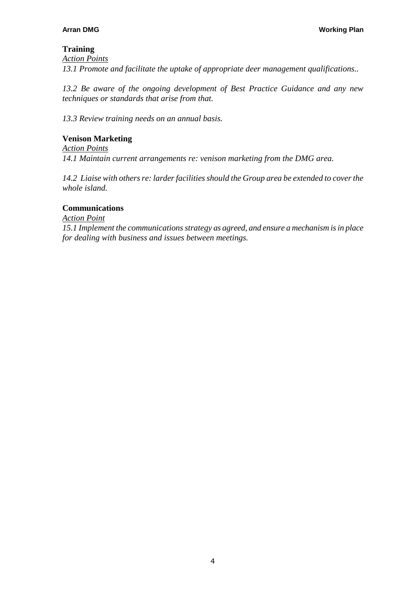## **Training**

*Action Points 13.1 Promote and facilitate the uptake of appropriate deer management qualifications..* 

*13.2 Be aware of the ongoing development of Best Practice Guidance and any new techniques or standards that arise from that.* 

*13.3 Review training needs on an annual basis.* 

### **Venison Marketing**

*Action Points 14.1 Maintain current arrangements re: venison marketing from the DMG area.* 

*14.2 Liaise with others re: larder facilities should the Group area be extended to cover the whole island.* 

#### **Communications**

*Action Point*

*15.1 Implement the communications strategy as agreed, and ensure a mechanism is in place for dealing with business and issues between meetings.*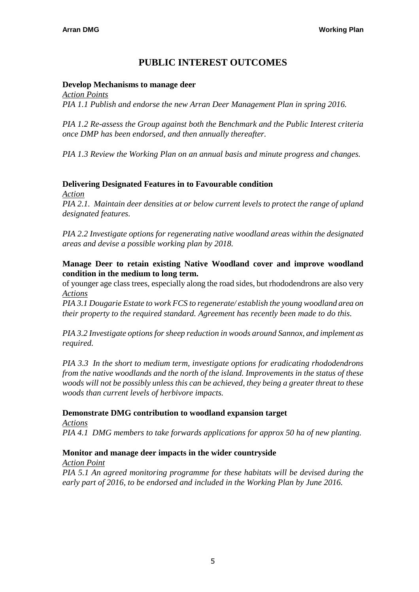## **PUBLIC INTEREST OUTCOMES**

#### **Develop Mechanisms to manage deer**

*Action Points PIA 1.1 Publish and endorse the new Arran Deer Management Plan in spring 2016.* 

*PIA 1.2 Re-assess the Group against both the Benchmark and the Public Interest criteria once DMP has been endorsed, and then annually thereafter.* 

*PIA 1.3 Review the Working Plan on an annual basis and minute progress and changes.* 

#### **Delivering Designated Features in to Favourable condition**

*Action*

*PIA 2.1. Maintain deer densities at or below current levels to protect the range of upland designated features.* 

*PIA 2.2 Investigate options for regenerating native woodland areas within the designated areas and devise a possible working plan by 2018.* 

#### **Manage Deer to retain existing Native Woodland cover and improve woodland condition in the medium to long term.**

of younger age class trees, especially along the road sides, but rhododendrons are also very *Actions*

*PIA 3.1 Dougarie Estate to work FCS to regenerate/ establish the young woodland area on their property to the required standard. Agreement has recently been made to do this.* 

*PIA 3.2 Investigate options for sheep reduction in woods around Sannox, and implement as required.* 

*PIA 3.3 In the short to medium term, investigate options for eradicating rhododendrons from the native woodlands and the north of the island. Improvements in the status of these woods will not be possibly unless this can be achieved, they being a greater threat to these woods than current levels of herbivore impacts.*

#### **Demonstrate DMG contribution to woodland expansion target**

*Actions*

*PIA 4.1 DMG members to take forwards applications for approx 50 ha of new planting.* 

#### **Monitor and manage deer impacts in the wider countryside**

*Action Point*

*PIA 5.1 An agreed monitoring programme for these habitats will be devised during the early part of 2016, to be endorsed and included in the Working Plan by June 2016.*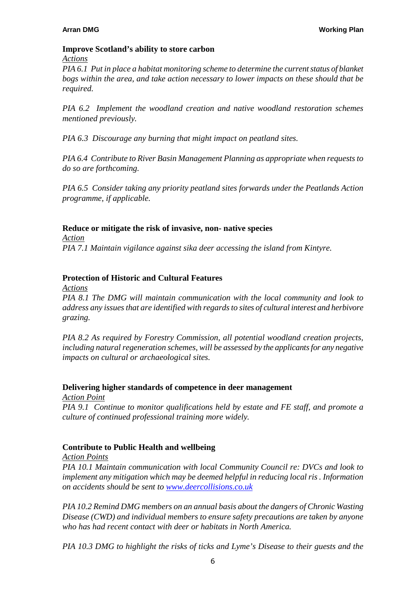#### **Improve Scotland's ability to store carbon**

#### *Actions*

*PIA 6.1 Put in place a habitat monitoring scheme to determine the current status of blanket bogs within the area, and take action necessary to lower impacts on these should that be required.* 

*PIA 6.2 Implement the woodland creation and native woodland restoration schemes mentioned previously.* 

*PIA 6.3 Discourage any burning that might impact on peatland sites.* 

*PIA 6.4 Contribute to River Basin Management Planning as appropriate when requests to do so are forthcoming.* 

*PIA 6.5 Consider taking any priority peatland sites forwards under the Peatlands Action programme, if applicable.* 

#### **Reduce or mitigate the risk of invasive, non- native species**

*Action PIA 7.1 Maintain vigilance against sika deer accessing the island from Kintyre.* 

#### **Protection of Historic and Cultural Features**

*Actions*

*PIA 8.1 The DMG will maintain communication with the local community and look to address any issues that are identified with regards to sites of cultural interest and herbivore grazing.* 

*PIA 8.2 As required by Forestry Commission, all potential woodland creation projects, including natural regeneration schemes, will be assessed by the applicants for any negative impacts on cultural or archaeological sites.* 

#### **Delivering higher standards of competence in deer management**

*Action Point*

*PIA 9.1 Continue to monitor qualifications held by estate and FE staff, and promote a culture of continued professional training more widely.* 

#### **Contribute to Public Health and wellbeing**

*Action Points*

*PIA 10.1 Maintain communication with local Community Council re: DVCs and look to implement any mitigation which may be deemed helpful in reducing local ris . Information on accidents should be sent to www.deercollisions.co.uk* 

*PIA 10.2 Remind DMG members on an annual basis about the dangers of Chronic Wasting Disease (CWD) and individual members to ensure safety precautions are taken by anyone who has had recent contact with deer or habitats in North America.* 

*PIA 10.3 DMG to highlight the risks of ticks and Lyme's Disease to their guests and the*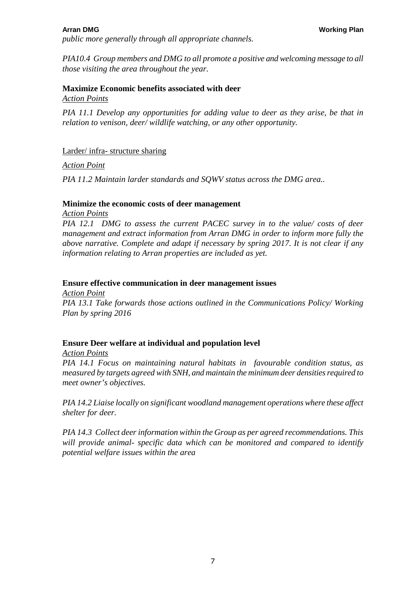*public more generally through all appropriate channels.* 

*PIA10.4 Group members and DMG to all promote a positive and welcoming message to all those visiting the area throughout the year.* 

#### **Maximize Economic benefits associated with deer**  *Action Points*

*PIA 11.1 Develop any opportunities for adding value to deer as they arise, be that in relation to venison, deer/ wildlife watching, or any other opportunity.* 

#### Larder/ infra- structure sharing

*Action Point*

*PIA 11.2 Maintain larder standards and SQWV status across the DMG area..* 

#### **Minimize the economic costs of deer management**

*Action Points*

*PIA 12.1 DMG to assess the current PACEC survey in to the value/ costs of deer management and extract information from Arran DMG in order to inform more fully the above narrative. Complete and adapt if necessary by spring 2017. It is not clear if any information relating to Arran properties are included as yet.* 

#### **Ensure effective communication in deer management issues**

*Action Point PIA 13.1 Take forwards those actions outlined in the Communications Policy/ Working Plan by spring 2016* 

#### **Ensure Deer welfare at individual and population level**

*Action Points*

*PIA 14.1 Focus on maintaining natural habitats in favourable condition status, as measured by targets agreed with SNH, and maintain the minimum deer densities required to meet owner's objectives.* 

*PIA 14.2 Liaise locally on significant woodland management operations where these affect shelter for deer.* 

*PIA 14.3 Collect deer information within the Group as per agreed recommendations. This will provide animal- specific data which can be monitored and compared to identify potential welfare issues within the area*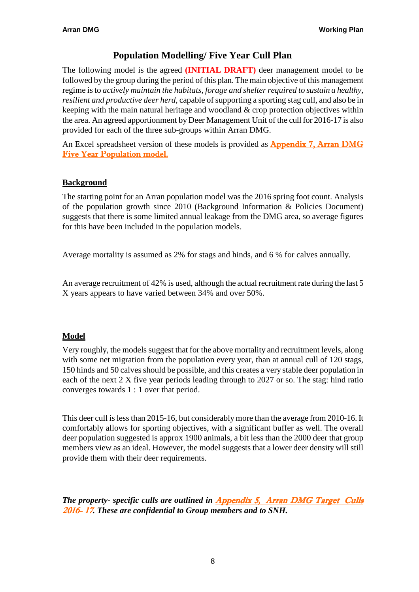## **Population Modelling/ Five Year Cull Plan**

The following model is the agreed **(INITIAL DRAFT)** deer management model to be followed by the group during the period of this plan. The main objective of this management regime is to *actively maintain the habitats, forage and shelter required to sustain a healthy, resilient and productive deer herd,* capable of supporting a sporting stag cull, and also be in keeping with the main natural heritage and woodland & crop protection objectives within the area. An agreed apportionment by Deer Management Unit of the cull for 2016-17 is also provided for each of the three sub-groups within Arran DMG.

An Excel spreadsheet version of these models is provided as **Appendix 7, Arran DMG** Five Year Population model.

### **Background**

The starting point for an Arran population model was the 2016 spring foot count. Analysis of the population growth since 2010 (Background Information & Policies Document) suggests that there is some limited annual leakage from the DMG area, so average figures for this have been included in the population models.

Average mortality is assumed as 2% for stags and hinds, and 6 % for calves annually.

An average recruitment of 42% is used, although the actual recruitment rate during the last 5 X years appears to have varied between 34% and over 50%.

#### **Model**

Very roughly, the models suggest that for the above mortality and recruitment levels, along with some net migration from the population every year, than at annual cull of 120 stags, 150 hinds and 50 calves should be possible, and this creates a very stable deer population in each of the next 2 X five year periods leading through to 2027 or so. The stag: hind ratio converges towards 1 : 1 over that period.

This deer cull is less than 2015-16, but considerably more than the average from 2010-16. It comfortably allows for sporting objectives, with a significant buffer as well. The overall deer population suggested is approx 1900 animals, a bit less than the 2000 deer that group members view as an ideal. However, the model suggests that a lower deer density will still provide them with their deer requirements.

*The property- specific culls are outlined in Appendix 5, Arran DMG Target Culls* 2016- 17*. These are confidential to Group members and to SNH.*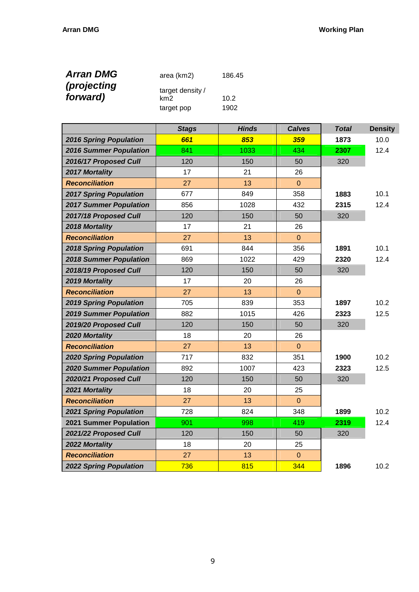| <b>Arran DMG</b>               | area (km2)              | 186.45 |
|--------------------------------|-------------------------|--------|
| <i>(projecting</i><br>forward) | target density /<br>km2 | 10.2   |
|                                | target pop              | 1902   |

|                               | <b>Stags</b> | <b>Hinds</b> | <b>Calves</b>  | <b>Total</b> | <b>Density</b> |
|-------------------------------|--------------|--------------|----------------|--------------|----------------|
| <b>2016 Spring Population</b> | 661          | 853          | 359            | 1873         | 10.0           |
| <b>2016 Summer Population</b> | 841          | 1033         | 434            | 2307         | 12.4           |
| 2016/17 Proposed Cull         | 120          | 150          | 50             | 320          |                |
| <b>2017 Mortality</b>         | 17           | 21           | 26             |              |                |
| <b>Reconciliation</b>         | 27           | 13           | $\mathbf{0}$   |              |                |
| <b>2017 Spring Population</b> | 677          | 849          | 358            | 1883         | 10.1           |
| <b>2017 Summer Population</b> | 856          | 1028         | 432            | 2315         | 12.4           |
| 2017/18 Proposed Cull         | 120          | 150          | 50             | 320          |                |
| 2018 Mortality                | 17           | 21           | 26             |              |                |
| <b>Reconciliation</b>         | 27           | 13           | $\mathbf 0$    |              |                |
| <b>2018 Spring Population</b> | 691          | 844          | 356            | 1891         | 10.1           |
| <b>2018 Summer Population</b> | 869          | 1022         | 429            | 2320         | 12.4           |
| 2018/19 Proposed Cull         | 120          | 150          | 50             | 320          |                |
| 2019 Mortality                | 17           | 20           | 26             |              |                |
| <b>Reconciliation</b>         | 27           | 13           | $\pmb{0}$      |              |                |
| <b>2019 Spring Population</b> | 705          | 839          | 353            | 1897         | 10.2           |
| <b>2019 Summer Population</b> | 882          | 1015         | 426            | 2323         | 12.5           |
| 2019/20 Proposed Cull         | 120          | 150          | 50             | 320          |                |
| 2020 Mortality                | 18           | 20           | 26             |              |                |
| <b>Reconciliation</b>         | 27           | 13           | $\overline{0}$ |              |                |
| <b>2020 Spring Population</b> | 717          | 832          | 351            | 1900         | 10.2           |
| <b>2020 Summer Population</b> | 892          | 1007         | 423            | 2323         | 12.5           |
| 2020/21 Proposed Cull         | 120          | 150          | 50             | 320          |                |
| 2021 Mortality                | 18           | 20           | 25             |              |                |
| <b>Reconciliation</b>         | 27           | 13           | $\mathbf{0}$   |              |                |
| <b>2021 Spring Population</b> | 728          | 824          | 348            | 1899         | 10.2           |
| 2021 Summer Population        | 901          | 998          | 419            | 2319         | 12.4           |
| 2021/22 Proposed Cull         | 120          | 150          | 50             | 320          |                |
| 2022 Mortality                | 18           | 20           | 25             |              |                |
| <b>Reconciliation</b>         | 27           | 13           | $\Omega$       |              |                |
| <b>2022 Spring Population</b> | 736          | 815          | 344            | 1896         | 10.2           |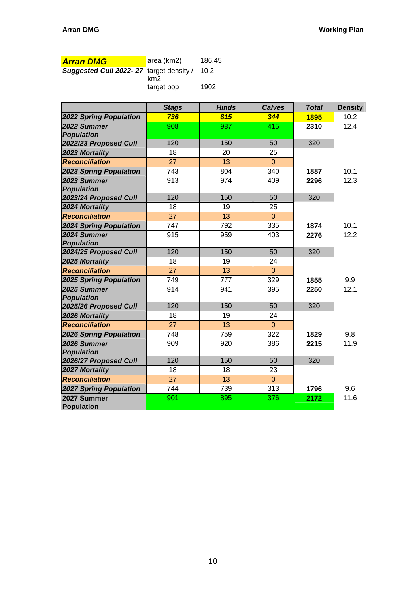| <b>Arran DMG</b>                        | area (km2) | 186.45 |
|-----------------------------------------|------------|--------|
| Suggested Cull 2022-27 target density / | km2        | 10.2   |
|                                         | target pop | 1902   |

|                               | <b>Stags</b>    | <b>Hinds</b>    | <b>Calves</b>  | <b>Total</b> | <b>Density</b> |
|-------------------------------|-----------------|-----------------|----------------|--------------|----------------|
| <b>2022 Spring Population</b> | 736             | 815             | 344            | 1895         | 10.2           |
| 2022 Summer                   | 908             | 987             | 415            | 2310         | 12.4           |
| <b>Population</b>             |                 |                 |                |              |                |
| 2022/23 Proposed Cull         | 120             | 150             | 50             | 320          |                |
| 2023 Mortality                | 18              | 20              | 25             |              |                |
| <b>Reconciliation</b>         | 27              | 13              | $\overline{0}$ |              |                |
| <b>2023 Spring Population</b> | 743             | 804             | 340            | 1887         | 10.1           |
| 2023 Summer                   | 913             | 974             | 409            | 2296         | 12.3           |
| <b>Population</b>             |                 |                 |                |              |                |
| 2023/24 Proposed Cull         | 120             | 150             | 50             | 320          |                |
| 2024 Mortality                | 18              | 19              | 25             |              |                |
| <b>Reconciliation</b>         | 27              | 13              | $\overline{0}$ |              |                |
| <b>2024 Spring Population</b> | 747             | 792             | 335            | 1874         | 10.1           |
| 2024 Summer                   | 915             | 959             | 403            | 2276         | 12.2           |
| <b>Population</b>             |                 |                 |                |              |                |
| 2024/25 Proposed Cull         | 120             | 150             | 50             | 320          |                |
| 2025 Mortality                | $\overline{18}$ | $\overline{19}$ | 24             |              |                |
| Reconciliation                | 27              | 13              | $\overline{0}$ |              |                |
| <b>2025 Spring Population</b> | 749             | 777             | 329            | 1855         | 9.9            |
| 2025 Summer                   | 914             | 941             | 395            | 2250         | 12.1           |
| <b>Population</b>             |                 |                 |                |              |                |
| 2025/26 Proposed Cull         | 120             | 150             | 50             | 320          |                |
| 2026 Mortality                | $\overline{18}$ | 19              | 24             |              |                |
| <b>Reconciliation</b>         | 27              | 13              | $\mathbf{0}$   |              |                |
| <b>2026 Spring Population</b> | 748             | 759             | 322            | 1829         | 9.8            |
| 2026 Summer                   | 909             | 920             | 386            | 2215         | 11.9           |
| <b>Population</b>             |                 |                 |                |              |                |
| 2026/27 Proposed Cull         | 120             | 150             | 50             | 320          |                |
| 2027 Mortality                | 18              | 18              | 23             |              |                |
| <b>Reconciliation</b>         | $\overline{27}$ | 13              | $\mathbf{0}$   |              |                |
| <b>2027 Spring Population</b> | 744             | 739             | 313            | 1796         | 9.6            |
| 2027 Summer                   | 901             | 895             | 376            | 2172         | 11.6           |
| <b>Population</b>             |                 |                 |                |              |                |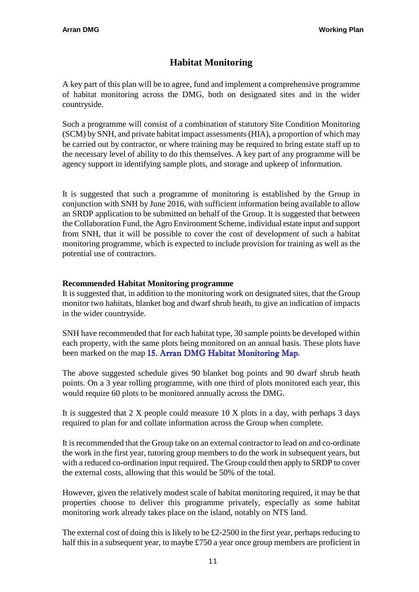# **Habitat Monitoring**

A key part of this plan will be to agree, fund and implement a comprehensive programme of habitat monitoring across the DMG, both on designated sites and in the wider countryside.

Such a programme will consist of a combination of statutory Site Condition Monitoring (SCM) by SNH, and private habitat impact assessments (HIA), a proportion of which may be carried out by contractor, or where training may be required to bring estate staff up to the necessary level of ability to do this themselves. A key part of any programme will be agency support in identifying sample plots, and storage and upkeep of information.

It is suggested that such a programme of monitoring is established by the Group in conjunction with SNH by June 2016, with sufficient information being available to allow an SRDP application to be submitted on behalf of the Group. It is suggested that between the Collaboration Fund, the Agro Environment Scheme, individual estate input and support from SNH, that it will be possible to cover the cost of development of such a habitat monitoring programme, which is expected to include provision for training as well as the potential use of contractors.

#### **Recommended Habitat Monitoring programme**

It is suggested that, in addition to the monitoring work on designated sites, that the Group monitor two habitats, blanket bog and dwarf shrub heath, to give an indication of impacts in the wider countryside.

SNH have recommended that for each habitat type, 30 sample points be developed within each property, with the same plots being monitored on an annual basis. These plots have been marked on the map 15. Arran DMG Habitat Monitoring Map.

The above suggested schedule gives 90 blanket bog points and 90 dwarf shrub heath points. On a 3 year rolling programme, with one third of plots monitored each year, this would require 60 plots to be monitored annually across the DMG.

It is suggested that 2 X people could measure 10 X plots in a day, with perhaps 3 days required to plan for and collate information across the Group when complete.

It is recommended that the Group take on an external contractor to lead on and co-ordinate the work in the first year, tutoring group members to do the work in subsequent years, but with a reduced co-ordination input required. The Group could then apply to SRDP to cover the external costs, allowing that this would be 50% of the total.

However, given the relatively modest scale of habitat monitoring required, it may be that properties choose to deliver this programme privately, especially as some habitat monitoring work already takes place on the island, notably on NTS land.

The external cost of doing this is likely to be £2-2500 in the first year, perhaps reducing to half this in a subsequent year, to maybe £750 a year once group members are proficient in